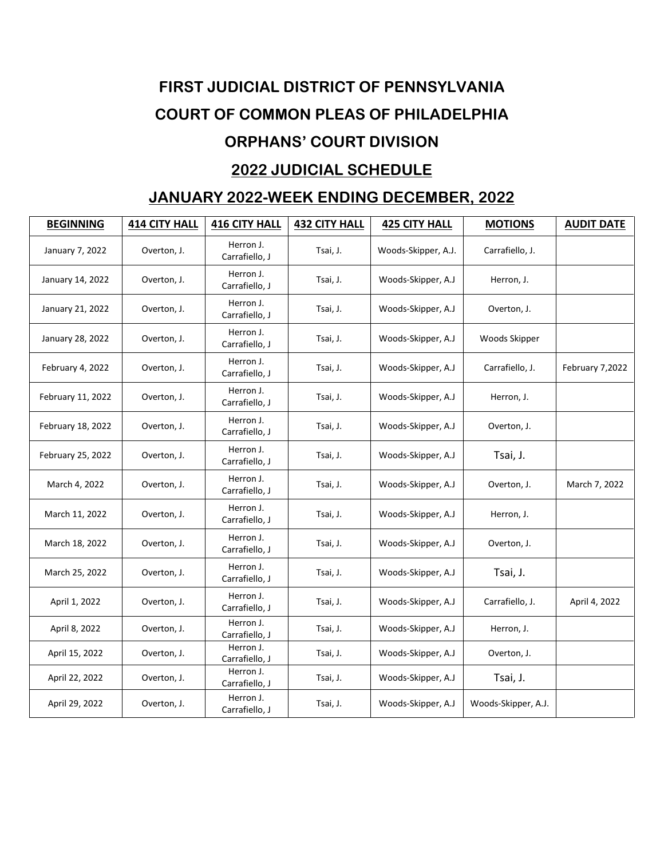## **FIRST JUDICIAL DISTRICT OF PENNSYLVANIA COURT OF COMMON PLEAS OF PHILADELPHIA ORPHANS' COURT DIVISION 2022 JUDICIAL SCHEDULE**

## **JANUARY 2022-WEEK ENDING DECEMBER, 2022**

| <b>BEGINNING</b>  | <b>414 CITY HALL</b> | <b>416 CITY HALL</b>        | <b>432 CITY HALL</b> | <b>425 CITY HALL</b> | <b>MOTIONS</b>      | <b>AUDIT DATE</b> |
|-------------------|----------------------|-----------------------------|----------------------|----------------------|---------------------|-------------------|
| January 7, 2022   | Overton, J.          | Herron J.<br>Carrafiello, J | Tsai, J.             | Woods-Skipper, A.J.  | Carrafiello, J.     |                   |
| January 14, 2022  | Overton, J.          | Herron J.<br>Carrafiello, J | Tsai, J.             | Woods-Skipper, A.J   | Herron, J.          |                   |
| January 21, 2022  | Overton, J.          | Herron J.<br>Carrafiello, J | Tsai, J.             | Woods-Skipper, A.J   | Overton, J.         |                   |
| January 28, 2022  | Overton, J.          | Herron J.<br>Carrafiello, J | Tsai, J.             | Woods-Skipper, A.J   | Woods Skipper       |                   |
| February 4, 2022  | Overton, J.          | Herron J.<br>Carrafiello, J | Tsai, J.             | Woods-Skipper, A.J   | Carrafiello, J.     | February 7,2022   |
| February 11, 2022 | Overton, J.          | Herron J.<br>Carrafiello, J | Tsai, J.             | Woods-Skipper, A.J   | Herron, J.          |                   |
| February 18, 2022 | Overton, J.          | Herron J.<br>Carrafiello, J | Tsai, J.             | Woods-Skipper, A.J   | Overton, J.         |                   |
| February 25, 2022 | Overton, J.          | Herron J.<br>Carrafiello, J | Tsai, J.             | Woods-Skipper, A.J   | Tsai, J.            |                   |
| March 4, 2022     | Overton, J.          | Herron J.<br>Carrafiello, J | Tsai, J.             | Woods-Skipper, A.J   | Overton, J.         | March 7, 2022     |
| March 11, 2022    | Overton, J.          | Herron J.<br>Carrafiello, J | Tsai, J.             | Woods-Skipper, A.J   | Herron, J.          |                   |
| March 18, 2022    | Overton, J.          | Herron J.<br>Carrafiello, J | Tsai, J.             | Woods-Skipper, A.J   | Overton, J.         |                   |
| March 25, 2022    | Overton, J.          | Herron J.<br>Carrafiello, J | Tsai, J.             | Woods-Skipper, A.J   | Tsai, J.            |                   |
| April 1, 2022     | Overton, J.          | Herron J.<br>Carrafiello, J | Tsai, J.             | Woods-Skipper, A.J   | Carrafiello, J.     | April 4, 2022     |
| April 8, 2022     | Overton, J.          | Herron J.<br>Carrafiello, J | Tsai, J.             | Woods-Skipper, A.J   | Herron, J.          |                   |
| April 15, 2022    | Overton, J.          | Herron J.<br>Carrafiello, J | Tsai, J.             | Woods-Skipper, A.J   | Overton, J.         |                   |
| April 22, 2022    | Overton, J.          | Herron J.<br>Carrafiello, J | Tsai, J.             | Woods-Skipper, A.J   | Tsai, J.            |                   |
| April 29, 2022    | Overton, J.          | Herron J.<br>Carrafiello, J | Tsai, J.             | Woods-Skipper, A.J   | Woods-Skipper, A.J. |                   |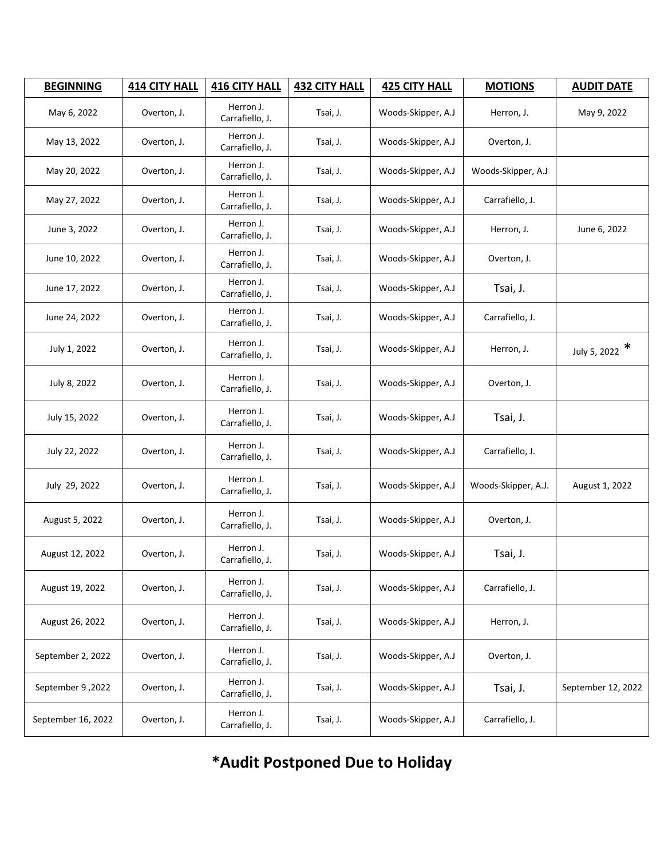| <b>BEGINNING</b>   | <b>414 CITY HALL</b> | <b>416 CITY HALL</b>         | <b>432 CITY HALL</b> | <b>425 CITY HALL</b> | <b>MOTIONS</b>      | <b>AUDIT DATE</b>  |
|--------------------|----------------------|------------------------------|----------------------|----------------------|---------------------|--------------------|
| May 6, 2022        | Overton, J.          | Herron J.<br>Carrafiello, J. | Tsai, J.             | Woods-Skipper, A.J   | Herron, J.          | May 9, 2022        |
| May 13, 2022       | Overton, J.          | Herron J.<br>Carrafiello, J. | Tsai, J.             | Woods-Skipper, A.J   | Overton, J.         |                    |
| May 20, 2022       | Overton, J.          | Herron J.<br>Carrafiello, J. | Tsai, J.             | Woods-Skipper, A.J   | Woods-Skipper, A.J  |                    |
| May 27, 2022       | Overton, J.          | Herron J.<br>Carrafiello, J. | Tsai, J.             | Woods-Skipper, A.J   | Carrafiello, J.     |                    |
| June 3, 2022       | Overton, J.          | Herron J.<br>Carrafiello, J. | Tsai, J.             | Woods-Skipper, A.J   | Herron, J.          | June 6, 2022       |
| June 10, 2022      | Overton, J.          | Herron J.<br>Carrafiello, J. | Tsai, J.             | Woods-Skipper, A.J   | Overton, J.         |                    |
| June 17, 2022      | Overton, J.          | Herron J.<br>Carrafiello, J. | Tsai, J.             | Woods-Skipper, A.J   | Tsai, J.            |                    |
| June 24, 2022      | Overton, J.          | Herron J.<br>Carrafiello, J. | Tsai, J.             | Woods-Skipper, A.J   | Carrafiello, J.     |                    |
| July 1, 2022       | Overton, J.          | Herron J.<br>Carrafiello, J. | Tsai, J.             | Woods-Skipper, A.J   | Herron, J.          | July 5, 2022 $*$   |
| July 8, 2022       | Overton, J.          | Herron J.<br>Carrafiello, J. | Tsai, J.             | Woods-Skipper, A.J   | Overton, J.         |                    |
| July 15, 2022      | Overton, J.          | Herron J.<br>Carrafiello, J. | Tsai, J.             | Woods-Skipper, A.J   | Tsai, J.            |                    |
| July 22, 2022      | Overton, J.          | Herron J.<br>Carrafiello, J. | Tsai, J.             | Woods-Skipper, A.J   | Carrafiello, J.     |                    |
| July 29, 2022      | Overton, J.          | Herron J.<br>Carrafiello, J. | Tsai, J.             | Woods-Skipper, A.J   | Woods-Skipper, A.J. | August 1, 2022     |
| August 5, 2022     | Overton, J.          | Herron J.<br>Carrafiello, J. | Tsai, J.             | Woods-Skipper, A.J   | Overton, J.         |                    |
| August 12, 2022    | Overton, J.          | Herron J.<br>Carrafiello, J. | Tsai, J.             | Woods-Skipper, A.J   | Tsai, J.            |                    |
| August 19, 2022    | Overton, J.          | Herron J.<br>Carrafiello, J. | Tsai, J.             | Woods-Skipper, A.J   | Carrafiello, J.     |                    |
| August 26, 2022    | Overton, J.          | Herron J.<br>Carrafiello, J. | Tsai, J.             | Woods-Skipper, A.J   | Herron, J.          |                    |
| September 2, 2022  | Overton, J.          | Herron J.<br>Carrafiello, J. | Tsai, J.             | Woods-Skipper, A.J   | Overton, J.         |                    |
| September 9,2022   | Overton, J.          | Herron J.<br>Carrafiello, J. | Tsai, J.             | Woods-Skipper, A.J   | Tsai, J.            | September 12, 2022 |
| September 16, 2022 | Overton, J.          | Herron J.<br>Carrafiello, J. | Tsai, J.             | Woods-Skipper, A.J   | Carrafiello, J.     |                    |

**\*Audit Postponed Due to Holiday**